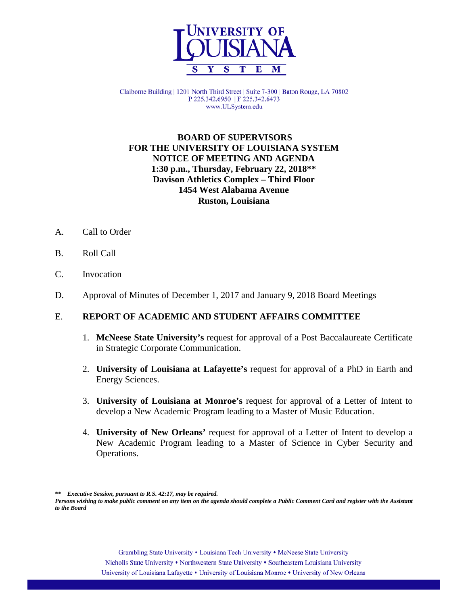

Claiborne Building | 1201 North Third Street | Suite 7-300 | Baton Rouge, LA 70802 P 225.342.6950 | F 225.342.6473 www.ULSystem.edu

## **BOARD OF SUPERVISORS FOR THE UNIVERSITY OF LOUISIANA SYSTEM NOTICE OF MEETING AND AGENDA 1:30 p.m., Thursday, February 22, 2018\*\* Davison Athletics Complex – Third Floor 1454 West Alabama Avenue Ruston, Louisiana**

- A. Call to Order
- B. Roll Call
- C. Invocation
- D. Approval of Minutes of December 1, 2017 and January 9, 2018 Board Meetings

#### E. **REPORT OF ACADEMIC AND STUDENT AFFAIRS COMMITTEE**

- 1. **McNeese State University's** request for approval of a Post Baccalaureate Certificate in Strategic Corporate Communication.
- 2. **University of Louisiana at Lafayette's** request for approval of a PhD in Earth and Energy Sciences.
- 3. **University of Louisiana at Monroe's** request for approval of a Letter of Intent to develop a New Academic Program leading to a Master of Music Education.
- 4. **University of New Orleans'** request for approval of a Letter of Intent to develop a New Academic Program leading to a Master of Science in Cyber Security and Operations.

**\*\*** *Executive Session, pursuant to R.S. 42:17, may be required.*

*Persons wishing to make public comment on any item on the agenda should complete a Public Comment Card and register with the Assistant to the Board*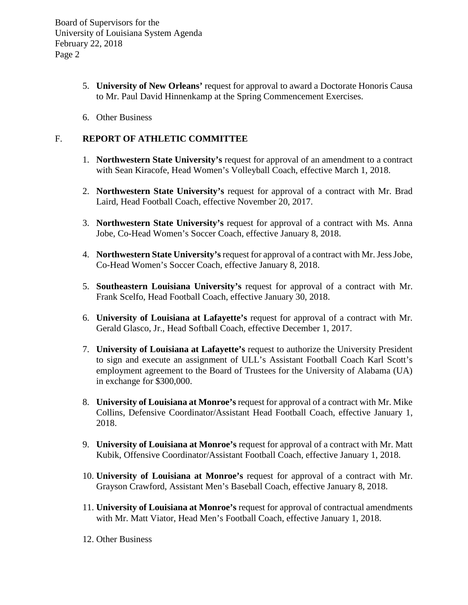- 5. **University of New Orleans'** request for approval to award a Doctorate Honoris Causa to Mr. Paul David Hinnenkamp at the Spring Commencement Exercises.
- 6. Other Business

## F. **REPORT OF ATHLETIC COMMITTEE**

- 1. **Northwestern State University's** request for approval of an amendment to a contract with Sean Kiracofe, Head Women's Volleyball Coach, effective March 1, 2018.
- 2. **Northwestern State University's** request for approval of a contract with Mr. Brad Laird, Head Football Coach, effective November 20, 2017.
- 3. **Northwestern State University's** request for approval of a contract with Ms. Anna Jobe, Co-Head Women's Soccer Coach, effective January 8, 2018.
- 4. **Northwestern State University's**request for approval of a contract with Mr. Jess Jobe, Co-Head Women's Soccer Coach, effective January 8, 2018.
- 5. **Southeastern Louisiana University's** request for approval of a contract with Mr. Frank Scelfo, Head Football Coach, effective January 30, 2018.
- 6. **University of Louisiana at Lafayette's** request for approval of a contract with Mr. Gerald Glasco, Jr., Head Softball Coach, effective December 1, 2017.
- 7. **University of Louisiana at Lafayette's** request to authorize the University President to sign and execute an assignment of ULL's Assistant Football Coach Karl Scott's employment agreement to the Board of Trustees for the University of Alabama (UA) in exchange for \$300,000.
- 8. **University of Louisiana at Monroe's** request for approval of a contract with Mr. Mike Collins, Defensive Coordinator/Assistant Head Football Coach, effective January 1, 2018.
- 9. **University of Louisiana at Monroe's** request for approval of a contract with Mr. Matt Kubik, Offensive Coordinator/Assistant Football Coach, effective January 1, 2018.
- 10. **University of Louisiana at Monroe's** request for approval of a contract with Mr. Grayson Crawford, Assistant Men's Baseball Coach, effective January 8, 2018.
- 11. **University of Louisiana at Monroe's** request for approval of contractual amendments with Mr. Matt Viator, Head Men's Football Coach, effective January 1, 2018.
- 12. Other Business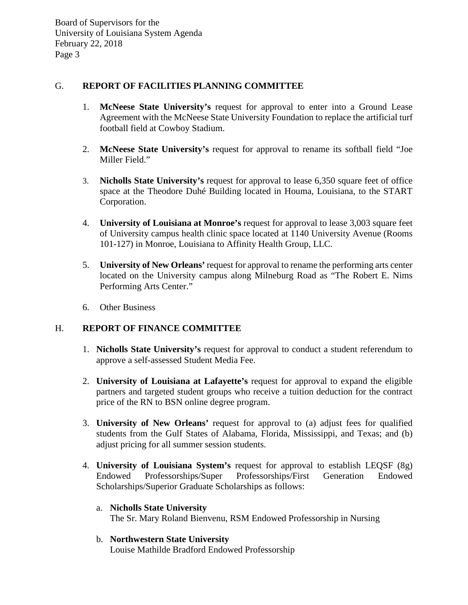### G. **REPORT OF FACILITIES PLANNING COMMITTEE**

- 1. **McNeese State University's** request for approval to enter into a Ground Lease Agreement with the McNeese State University Foundation to replace the artificial turf football field at Cowboy Stadium.
- 2. **McNeese State University's** request for approval to rename its softball field "Joe Miller Field."
- 3. **Nicholls State University's** request for approval to lease 6,350 square feet of office space at the Theodore Duhé Building located in Houma, Louisiana, to the START Corporation.
- 4. **University of Louisiana at Monroe's** request for approval to lease 3,003 square feet of University campus health clinic space located at 1140 University Avenue (Rooms 101-127) in Monroe, Louisiana to Affinity Health Group, LLC.
- 5. **University of New Orleans'** request for approval to rename the performing arts center located on the University campus along Milneburg Road as "The Robert E. Nims Performing Arts Center."
- 6. Other Business

#### H. **REPORT OF FINANCE COMMITTEE**

- 1. **Nicholls State University's** request for approval to conduct a student referendum to approve a self-assessed Student Media Fee.
- 2. **University of Louisiana at Lafayette's** request for approval to expand the eligible partners and targeted student groups who receive a tuition deduction for the contract price of the RN to BSN online degree program.
- 3. **University of New Orleans'** request for approval to (a) adjust fees for qualified students from the Gulf States of Alabama, Florida, Mississippi, and Texas; and (b) adjust pricing for all summer session students.
- 4. **University of Louisiana System's** request for approval to establish LEQSF (8g) Endowed Professorships/Super Professorships/First Generation Endowed Scholarships/Superior Graduate Scholarships as follows:
	- a. **Nicholls State University** The Sr. Mary Roland Bienvenu, RSM Endowed Professorship in Nursing
	- b. **Northwestern State University** Louise Mathilde Bradford Endowed Professorship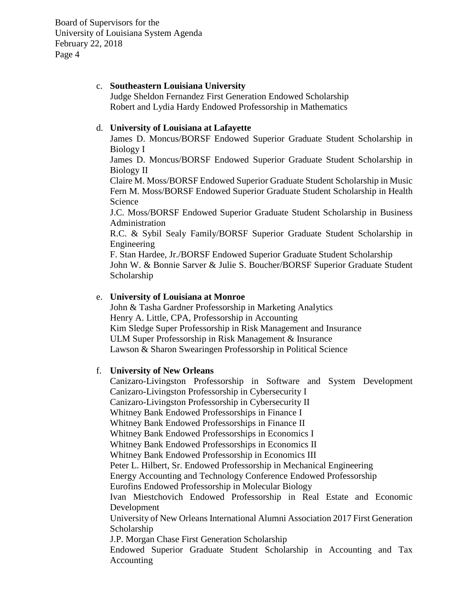#### c. **Southeastern Louisiana University**

Judge Sheldon Fernandez First Generation Endowed Scholarship Robert and Lydia Hardy Endowed Professorship in Mathematics

#### d. **University of Louisiana at Lafayette**

James D. Moncus/BORSF Endowed Superior Graduate Student Scholarship in Biology I

James D. Moncus/BORSF Endowed Superior Graduate Student Scholarship in Biology II

Claire M. Moss/BORSF Endowed Superior Graduate Student Scholarship in Music Fern M. Moss/BORSF Endowed Superior Graduate Student Scholarship in Health Science

J.C. Moss/BORSF Endowed Superior Graduate Student Scholarship in Business Administration

R.C. & Sybil Sealy Family/BORSF Superior Graduate Student Scholarship in Engineering

F. Stan Hardee, Jr./BORSF Endowed Superior Graduate Student Scholarship John W. & Bonnie Sarver & Julie S. Boucher/BORSF Superior Graduate Student Scholarship

#### e. **University of Louisiana at Monroe**

John & Tasha Gardner Professorship in Marketing Analytics Henry A. Little, CPA, Professorship in Accounting Kim Sledge Super Professorship in Risk Management and Insurance ULM Super Professorship in Risk Management & Insurance Lawson & Sharon Swearingen Professorship in Political Science

#### f. **University of New Orleans**

Canizaro-Livingston Professorship in Software and System Development Canizaro-Livingston Professorship in Cybersecurity I Canizaro-Livingston Professorship in Cybersecurity II Whitney Bank Endowed Professorships in Finance I Whitney Bank Endowed Professorships in Finance II Whitney Bank Endowed Professorships in Economics I Whitney Bank Endowed Professorships in Economics II Whitney Bank Endowed Professorship in Economics III Peter L. Hilbert, Sr. Endowed Professorship in Mechanical Engineering Energy Accounting and Technology Conference Endowed Professorship Eurofins Endowed Professorship in Molecular Biology Ivan Miestchovich Endowed Professorship in Real Estate and Economic Development University of New Orleans International Alumni Association 2017 First Generation Scholarship J.P. Morgan Chase First Generation Scholarship Endowed Superior Graduate Student Scholarship in Accounting and Tax Accounting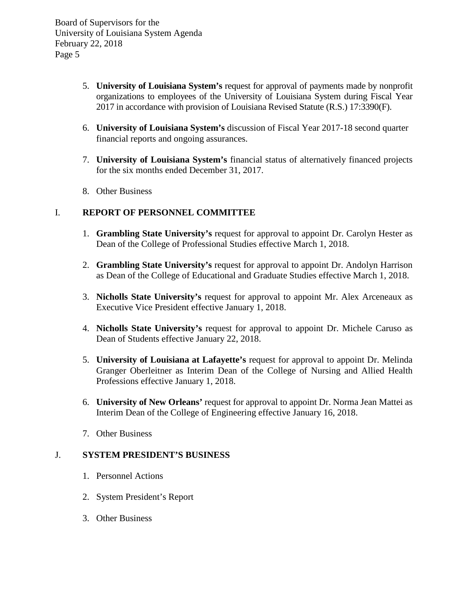- 5. **University of Louisiana System's** request for approval of payments made by nonprofit organizations to employees of the University of Louisiana System during Fiscal Year 2017 in accordance with provision of Louisiana Revised Statute (R.S.) 17:3390(F).
- 6. **University of Louisiana System's** discussion of Fiscal Year 2017-18 second quarter financial reports and ongoing assurances.
- 7. **University of Louisiana System's** financial status of alternatively financed projects for the six months ended December 31, 2017.
- 8. Other Business

## I. **REPORT OF PERSONNEL COMMITTEE**

- 1. **Grambling State University's** request for approval to appoint Dr. Carolyn Hester as Dean of the College of Professional Studies effective March 1, 2018.
- 2. **Grambling State University's** request for approval to appoint Dr. Andolyn Harrison as Dean of the College of Educational and Graduate Studies effective March 1, 2018.
- 3. **Nicholls State University's** request for approval to appoint Mr. Alex Arceneaux as Executive Vice President effective January 1, 2018.
- 4. **Nicholls State University's** request for approval to appoint Dr. Michele Caruso as Dean of Students effective January 22, 2018.
- 5. **University of Louisiana at Lafayette's** request for approval to appoint Dr. Melinda Granger Oberleitner as Interim Dean of the College of Nursing and Allied Health Professions effective January 1, 2018.
- 6. **University of New Orleans'** request for approval to appoint Dr. Norma Jean Mattei as Interim Dean of the College of Engineering effective January 16, 2018.
- 7. Other Business

### J. **SYSTEM PRESIDENT'S BUSINESS**

- 1. Personnel Actions
- 2. System President's Report
- 3. Other Business